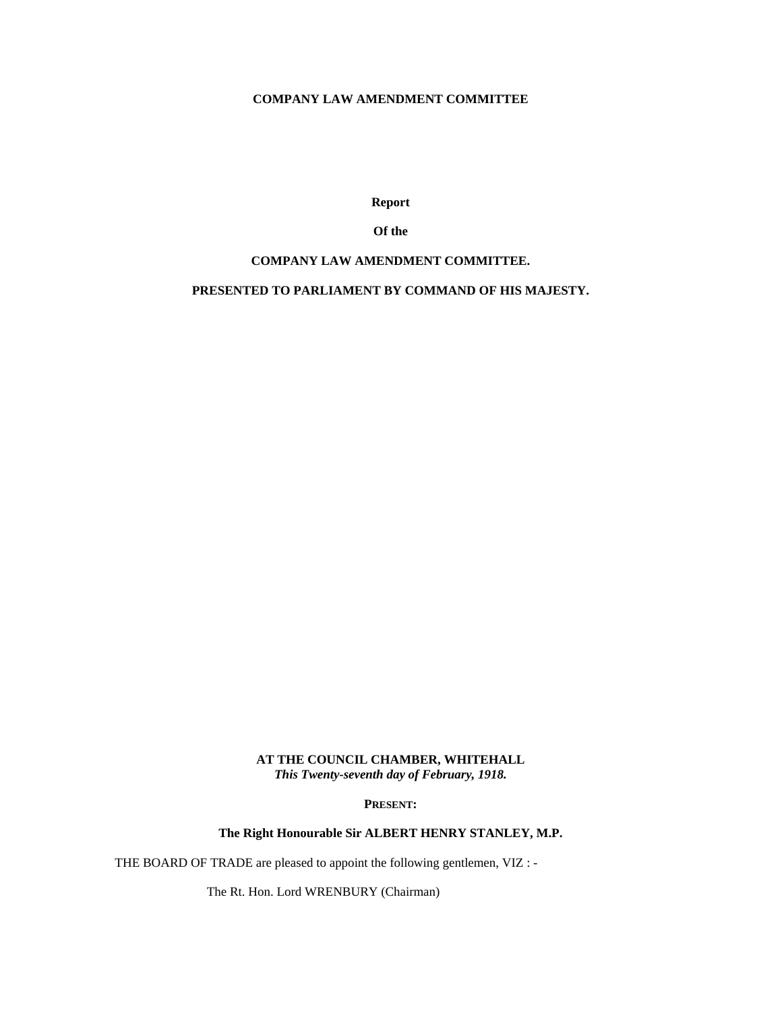# **COMPANY LAW AMENDMENT COMMITTEE**

**Report** 

# **Of the**

# **COMPANY LAW AMENDMENT COMMITTEE.**

# **PRESENTED TO PARLIAMENT BY COMMAND OF HIS MAJESTY.**

# **AT THE COUNCIL CHAMBER, WHITEHALL**  *This Twenty-seventh day of February, 1918.*

**PRESENT:** 

**The Right Honourable Sir ALBERT HENRY STANLEY, M.P.** 

THE BOARD OF TRADE are pleased to appoint the following gentlemen, VIZ : -

The Rt. Hon. Lord WRENBURY (Chairman)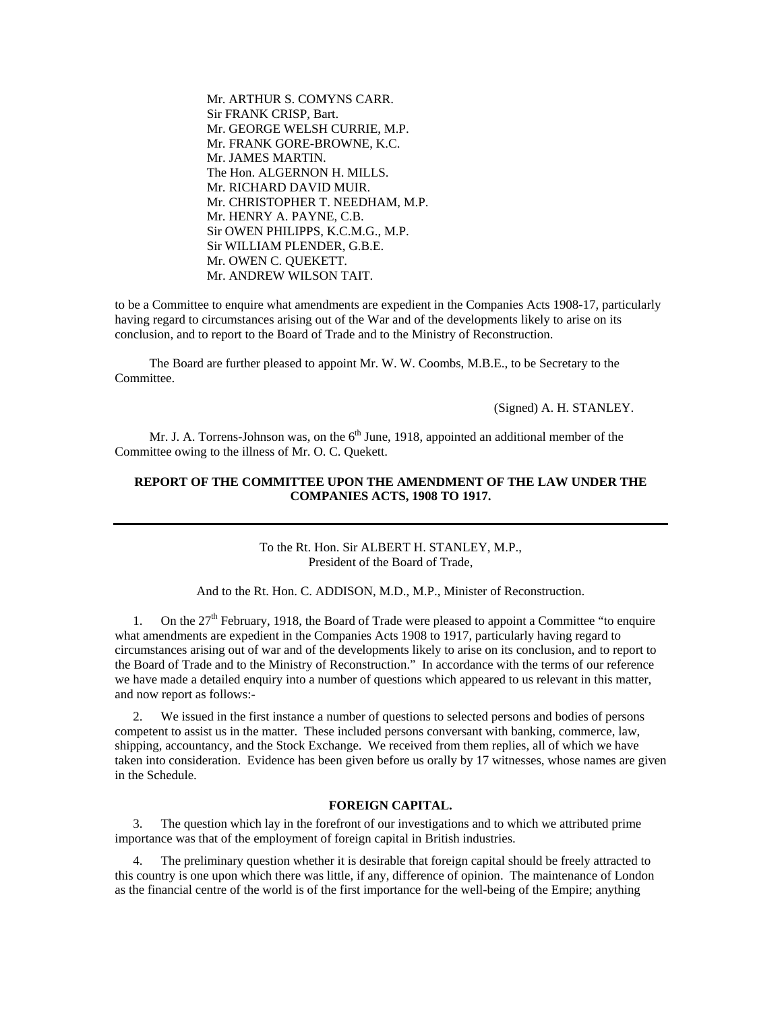Mr. ARTHUR S. COMYNS CARR. Sir FRANK CRISP, Bart. Mr. GEORGE WELSH CURRIE, M.P. Mr. FRANK GORE-BROWNE, K.C. Mr. JAMES MARTIN. The Hon. ALGERNON H. MILLS. Mr. RICHARD DAVID MUIR. Mr. CHRISTOPHER T. NEEDHAM, M.P. Mr. HENRY A. PAYNE, C.B. Sir OWEN PHILIPPS, K.C.M.G., M.P. Sir WILLIAM PLENDER, G.B.E. Mr. OWEN C. QUEKETT. Mr. ANDREW WILSON TAIT.

to be a Committee to enquire what amendments are expedient in the Companies Acts 1908-17, particularly having regard to circumstances arising out of the War and of the developments likely to arise on its conclusion, and to report to the Board of Trade and to the Ministry of Reconstruction.

 The Board are further pleased to appoint Mr. W. W. Coombs, M.B.E., to be Secretary to the Committee.

(Signed) A. H. STANLEY.

Mr. J. A. Torrens-Johnson was, on the  $6<sup>th</sup>$  June, 1918, appointed an additional member of the Committee owing to the illness of Mr. O. C. Quekett.

# **REPORT OF THE COMMITTEE UPON THE AMENDMENT OF THE LAW UNDER THE COMPANIES ACTS, 1908 TO 1917.**

To the Rt. Hon. Sir ALBERT H. STANLEY, M.P., President of the Board of Trade,

And to the Rt. Hon. C. ADDISON, M.D., M.P., Minister of Reconstruction.

1. On the  $27<sup>th</sup>$  February, 1918, the Board of Trade were pleased to appoint a Committee "to enquire" what amendments are expedient in the Companies Acts 1908 to 1917, particularly having regard to circumstances arising out of war and of the developments likely to arise on its conclusion, and to report to the Board of Trade and to the Ministry of Reconstruction." In accordance with the terms of our reference we have made a detailed enquiry into a number of questions which appeared to us relevant in this matter, and now report as follows:-

2. We issued in the first instance a number of questions to selected persons and bodies of persons competent to assist us in the matter. These included persons conversant with banking, commerce, law, shipping, accountancy, and the Stock Exchange. We received from them replies, all of which we have taken into consideration. Evidence has been given before us orally by 17 witnesses, whose names are given in the Schedule.

#### **FOREIGN CAPITAL.**

3. The question which lay in the forefront of our investigations and to which we attributed prime importance was that of the employment of foreign capital in British industries.

4. The preliminary question whether it is desirable that foreign capital should be freely attracted to this country is one upon which there was little, if any, difference of opinion. The maintenance of London as the financial centre of the world is of the first importance for the well-being of the Empire; anything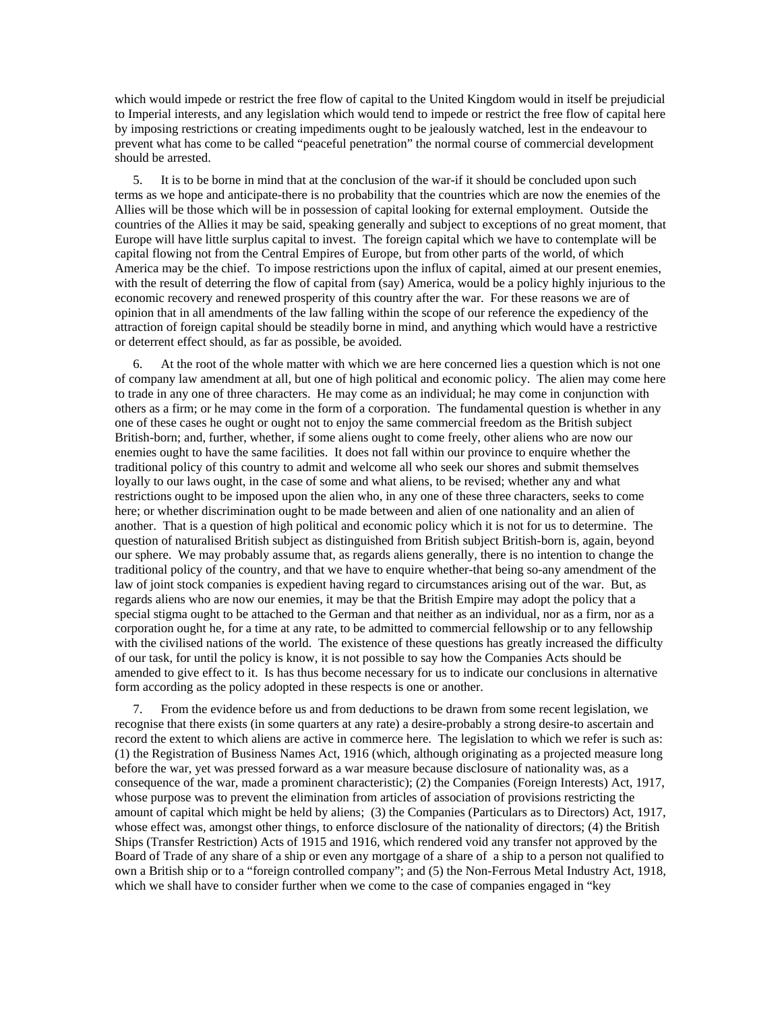which would impede or restrict the free flow of capital to the United Kingdom would in itself be prejudicial to Imperial interests, and any legislation which would tend to impede or restrict the free flow of capital here by imposing restrictions or creating impediments ought to be jealously watched, lest in the endeavour to prevent what has come to be called "peaceful penetration" the normal course of commercial development should be arrested.

5. It is to be borne in mind that at the conclusion of the war-if it should be concluded upon such terms as we hope and anticipate-there is no probability that the countries which are now the enemies of the Allies will be those which will be in possession of capital looking for external employment. Outside the countries of the Allies it may be said, speaking generally and subject to exceptions of no great moment, that Europe will have little surplus capital to invest. The foreign capital which we have to contemplate will be capital flowing not from the Central Empires of Europe, but from other parts of the world, of which America may be the chief. To impose restrictions upon the influx of capital, aimed at our present enemies, with the result of deterring the flow of capital from (say) America, would be a policy highly injurious to the economic recovery and renewed prosperity of this country after the war. For these reasons we are of opinion that in all amendments of the law falling within the scope of our reference the expediency of the attraction of foreign capital should be steadily borne in mind, and anything which would have a restrictive or deterrent effect should, as far as possible, be avoided.

At the root of the whole matter with which we are here concerned lies a question which is not one of company law amendment at all, but one of high political and economic policy. The alien may come here to trade in any one of three characters. He may come as an individual; he may come in conjunction with others as a firm; or he may come in the form of a corporation. The fundamental question is whether in any one of these cases he ought or ought not to enjoy the same commercial freedom as the British subject British-born; and, further, whether, if some aliens ought to come freely, other aliens who are now our enemies ought to have the same facilities. It does not fall within our province to enquire whether the traditional policy of this country to admit and welcome all who seek our shores and submit themselves loyally to our laws ought, in the case of some and what aliens, to be revised; whether any and what restrictions ought to be imposed upon the alien who, in any one of these three characters, seeks to come here; or whether discrimination ought to be made between and alien of one nationality and an alien of another. That is a question of high political and economic policy which it is not for us to determine. The question of naturalised British subject as distinguished from British subject British-born is, again, beyond our sphere. We may probably assume that, as regards aliens generally, there is no intention to change the traditional policy of the country, and that we have to enquire whether-that being so-any amendment of the law of joint stock companies is expedient having regard to circumstances arising out of the war. But, as regards aliens who are now our enemies, it may be that the British Empire may adopt the policy that a special stigma ought to be attached to the German and that neither as an individual, nor as a firm, nor as a corporation ought he, for a time at any rate, to be admitted to commercial fellowship or to any fellowship with the civilised nations of the world. The existence of these questions has greatly increased the difficulty of our task, for until the policy is know, it is not possible to say how the Companies Acts should be amended to give effect to it. Is has thus become necessary for us to indicate our conclusions in alternative form according as the policy adopted in these respects is one or another.

7. From the evidence before us and from deductions to be drawn from some recent legislation, we recognise that there exists (in some quarters at any rate) a desire-probably a strong desire-to ascertain and record the extent to which aliens are active in commerce here. The legislation to which we refer is such as: (1) the Registration of Business Names Act, 1916 (which, although originating as a projected measure long before the war, yet was pressed forward as a war measure because disclosure of nationality was, as a consequence of the war, made a prominent characteristic); (2) the Companies (Foreign Interests) Act, 1917, whose purpose was to prevent the elimination from articles of association of provisions restricting the amount of capital which might be held by aliens; (3) the Companies (Particulars as to Directors) Act, 1917, whose effect was, amongst other things, to enforce disclosure of the nationality of directors; (4) the British Ships (Transfer Restriction) Acts of 1915 and 1916, which rendered void any transfer not approved by the Board of Trade of any share of a ship or even any mortgage of a share of a ship to a person not qualified to own a British ship or to a "foreign controlled company"; and (5) the Non-Ferrous Metal Industry Act, 1918, which we shall have to consider further when we come to the case of companies engaged in "key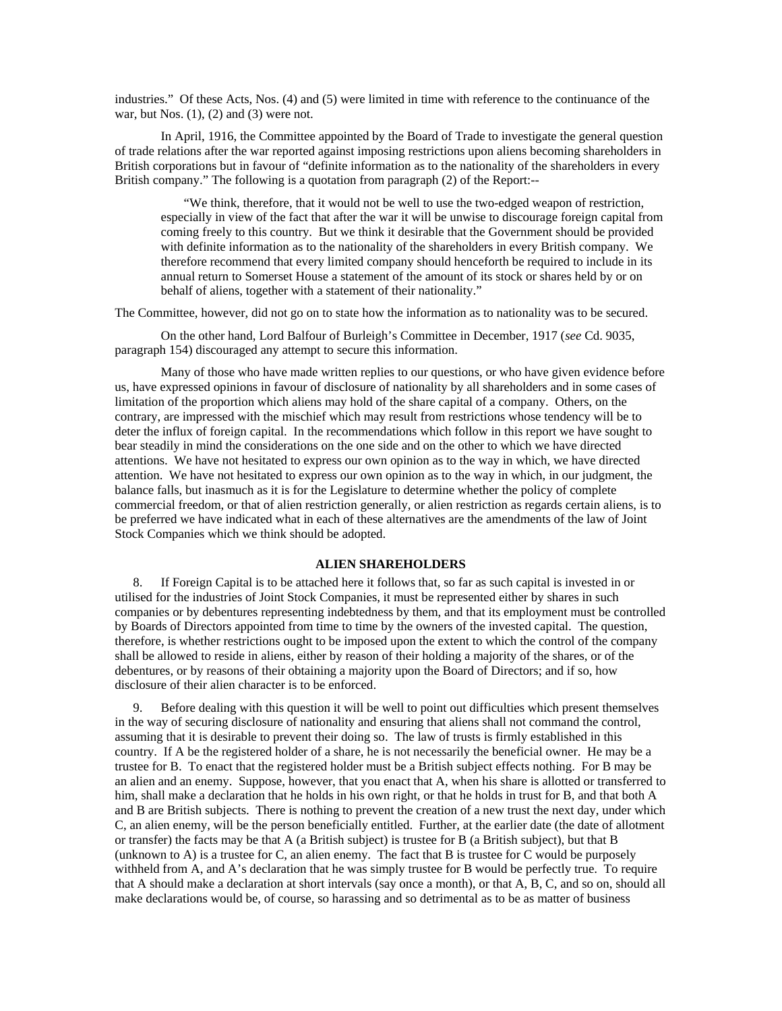industries." Of these Acts, Nos. (4) and (5) were limited in time with reference to the continuance of the war, but Nos.  $(1)$ ,  $(2)$  and  $(3)$  were not.

 In April, 1916, the Committee appointed by the Board of Trade to investigate the general question of trade relations after the war reported against imposing restrictions upon aliens becoming shareholders in British corporations but in favour of "definite information as to the nationality of the shareholders in every British company." The following is a quotation from paragraph (2) of the Report:--

"We think, therefore, that it would not be well to use the two-edged weapon of restriction, especially in view of the fact that after the war it will be unwise to discourage foreign capital from coming freely to this country. But we think it desirable that the Government should be provided with definite information as to the nationality of the shareholders in every British company. We therefore recommend that every limited company should henceforth be required to include in its annual return to Somerset House a statement of the amount of its stock or shares held by or on behalf of aliens, together with a statement of their nationality."

The Committee, however, did not go on to state how the information as to nationality was to be secured.

 On the other hand, Lord Balfour of Burleigh's Committee in December, 1917 (*see* Cd. 9035, paragraph 154) discouraged any attempt to secure this information.

 Many of those who have made written replies to our questions, or who have given evidence before us, have expressed opinions in favour of disclosure of nationality by all shareholders and in some cases of limitation of the proportion which aliens may hold of the share capital of a company. Others, on the contrary, are impressed with the mischief which may result from restrictions whose tendency will be to deter the influx of foreign capital. In the recommendations which follow in this report we have sought to bear steadily in mind the considerations on the one side and on the other to which we have directed attentions. We have not hesitated to express our own opinion as to the way in which, we have directed attention. We have not hesitated to express our own opinion as to the way in which, in our judgment, the balance falls, but inasmuch as it is for the Legislature to determine whether the policy of complete commercial freedom, or that of alien restriction generally, or alien restriction as regards certain aliens, is to be preferred we have indicated what in each of these alternatives are the amendments of the law of Joint Stock Companies which we think should be adopted.

### **ALIEN SHAREHOLDERS**

8. If Foreign Capital is to be attached here it follows that, so far as such capital is invested in or utilised for the industries of Joint Stock Companies, it must be represented either by shares in such companies or by debentures representing indebtedness by them, and that its employment must be controlled by Boards of Directors appointed from time to time by the owners of the invested capital. The question, therefore, is whether restrictions ought to be imposed upon the extent to which the control of the company shall be allowed to reside in aliens, either by reason of their holding a majority of the shares, or of the debentures, or by reasons of their obtaining a majority upon the Board of Directors; and if so, how disclosure of their alien character is to be enforced.

9. Before dealing with this question it will be well to point out difficulties which present themselves in the way of securing disclosure of nationality and ensuring that aliens shall not command the control, assuming that it is desirable to prevent their doing so. The law of trusts is firmly established in this country. If A be the registered holder of a share, he is not necessarily the beneficial owner. He may be a trustee for B. To enact that the registered holder must be a British subject effects nothing. For B may be an alien and an enemy. Suppose, however, that you enact that A, when his share is allotted or transferred to him, shall make a declaration that he holds in his own right, or that he holds in trust for B, and that both A and B are British subjects. There is nothing to prevent the creation of a new trust the next day, under which C, an alien enemy, will be the person beneficially entitled. Further, at the earlier date (the date of allotment or transfer) the facts may be that A (a British subject) is trustee for B (a British subject), but that B (unknown to A) is a trustee for C, an alien enemy. The fact that B is trustee for C would be purposely withheld from A, and A's declaration that he was simply trustee for B would be perfectly true. To require that A should make a declaration at short intervals (say once a month), or that A, B, C, and so on, should all make declarations would be, of course, so harassing and so detrimental as to be as matter of business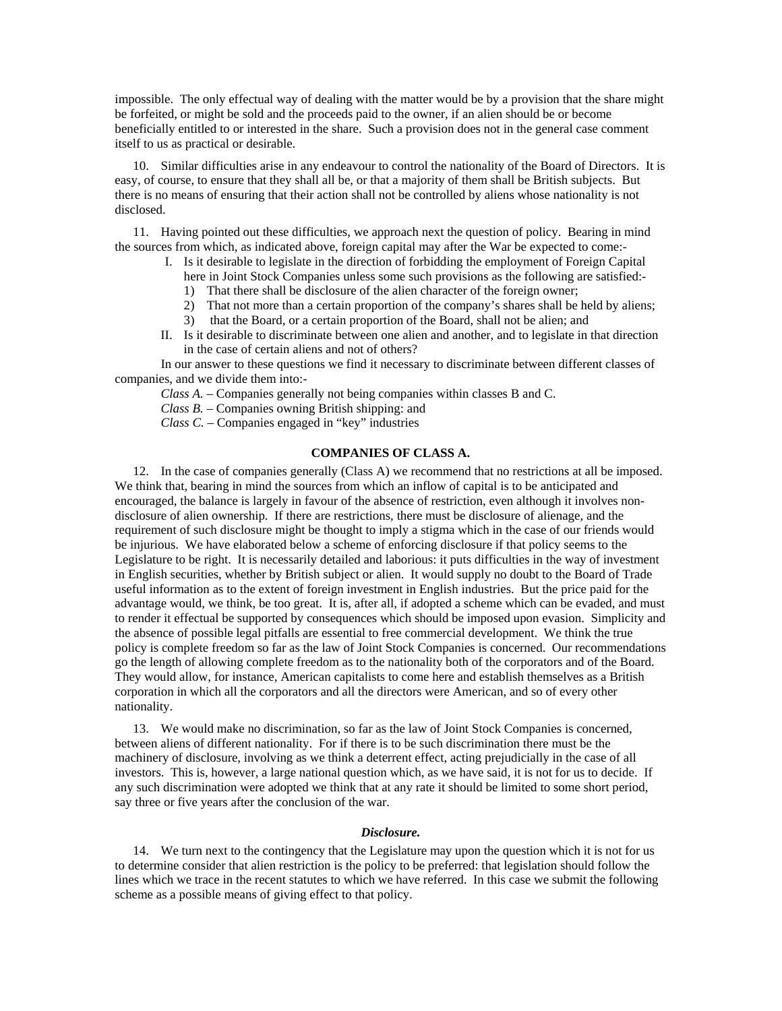impossible. The only effectual way of dealing with the matter would be by a provision that the share might be forfeited, or might be sold and the proceeds paid to the owner, if an alien should be or become beneficially entitled to or interested in the share. Such a provision does not in the general case comment itself to us as practical or desirable.

10. Similar difficulties arise in any endeavour to control the nationality of the Board of Directors. It is easy, of course, to ensure that they shall all be, or that a majority of them shall be British subjects. But there is no means of ensuring that their action shall not be controlled by aliens whose nationality is not disclosed.

11. Having pointed out these difficulties, we approach next the question of policy. Bearing in mind the sources from which, as indicated above, foreign capital may after the War be expected to come:-

- I. Is it desirable to legislate in the direction of forbidding the employment of Foreign Capital here in Joint Stock Companies unless some such provisions as the following are satisfied:- 1) That there shall be disclosure of the alien character of the foreign owner;
	-
	- 2) That not more than a certain proportion of the company's shares shall be held by aliens;
	- 3) that the Board, or a certain proportion of the Board, shall not be alien; and
- II. Is it desirable to discriminate between one alien and another, and to legislate in that direction in the case of certain aliens and not of others?

 In our answer to these questions we find it necessary to discriminate between different classes of companies, and we divide them into:-

*Class A.* – Companies generally not being companies within classes B and C.

*Class B.* – Companies owning British shipping: and

*Class C.* – Companies engaged in "key" industries

# **COMPANIES OF CLASS A.**

12. In the case of companies generally (Class A) we recommend that no restrictions at all be imposed. We think that, bearing in mind the sources from which an inflow of capital is to be anticipated and encouraged, the balance is largely in favour of the absence of restriction, even although it involves nondisclosure of alien ownership. If there are restrictions, there must be disclosure of alienage, and the requirement of such disclosure might be thought to imply a stigma which in the case of our friends would be injurious. We have elaborated below a scheme of enforcing disclosure if that policy seems to the Legislature to be right. It is necessarily detailed and laborious: it puts difficulties in the way of investment in English securities, whether by British subject or alien. It would supply no doubt to the Board of Trade useful information as to the extent of foreign investment in English industries. But the price paid for the advantage would, we think, be too great. It is, after all, if adopted a scheme which can be evaded, and must to render it effectual be supported by consequences which should be imposed upon evasion. Simplicity and the absence of possible legal pitfalls are essential to free commercial development. We think the true policy is complete freedom so far as the law of Joint Stock Companies is concerned. Our recommendations go the length of allowing complete freedom as to the nationality both of the corporators and of the Board. They would allow, for instance, American capitalists to come here and establish themselves as a British corporation in which all the corporators and all the directors were American, and so of every other nationality.

13. We would make no discrimination, so far as the law of Joint Stock Companies is concerned, between aliens of different nationality. For if there is to be such discrimination there must be the machinery of disclosure, involving as we think a deterrent effect, acting prejudicially in the case of all investors. This is, however, a large national question which, as we have said, it is not for us to decide. If any such discrimination were adopted we think that at any rate it should be limited to some short period, say three or five years after the conclusion of the war.

#### *Disclosure.*

14. We turn next to the contingency that the Legislature may upon the question which it is not for us to determine consider that alien restriction is the policy to be preferred: that legislation should follow the lines which we trace in the recent statutes to which we have referred. In this case we submit the following scheme as a possible means of giving effect to that policy.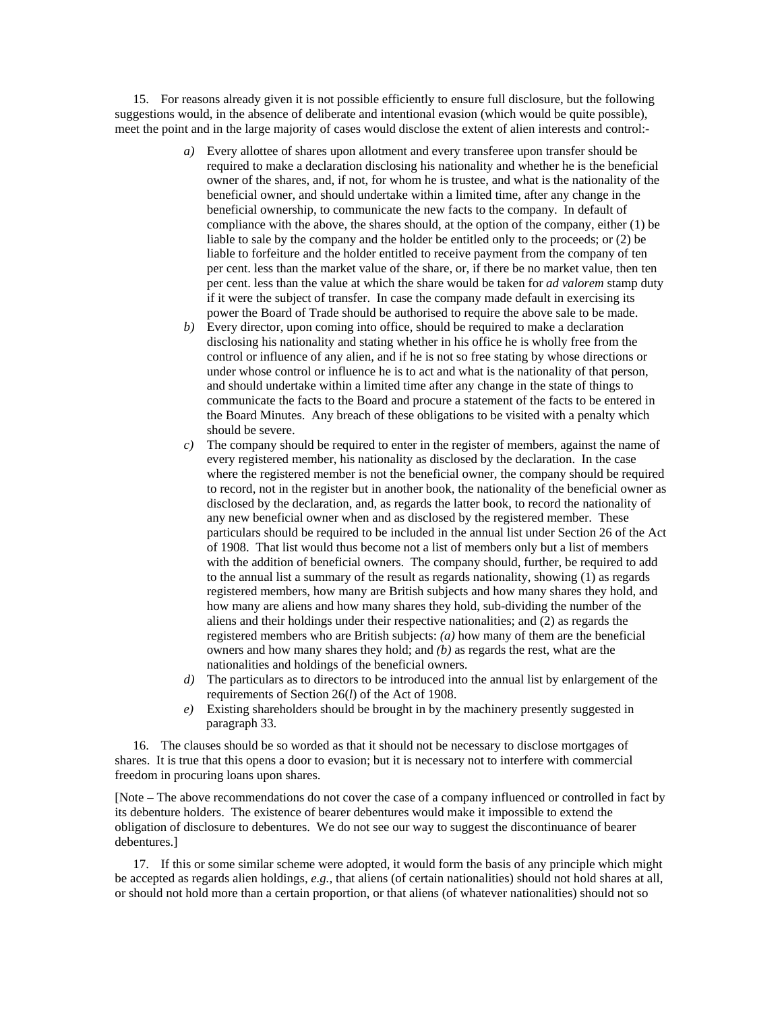15. For reasons already given it is not possible efficiently to ensure full disclosure, but the following suggestions would, in the absence of deliberate and intentional evasion (which would be quite possible), meet the point and in the large majority of cases would disclose the extent of alien interests and control:-

- *a)* Every allottee of shares upon allotment and every transferee upon transfer should be required to make a declaration disclosing his nationality and whether he is the beneficial owner of the shares, and, if not, for whom he is trustee, and what is the nationality of the beneficial owner, and should undertake within a limited time, after any change in the beneficial ownership, to communicate the new facts to the company. In default of compliance with the above, the shares should, at the option of the company, either (1) be liable to sale by the company and the holder be entitled only to the proceeds; or (2) be liable to forfeiture and the holder entitled to receive payment from the company of ten per cent. less than the market value of the share, or, if there be no market value, then ten per cent. less than the value at which the share would be taken for *ad valorem* stamp duty if it were the subject of transfer. In case the company made default in exercising its power the Board of Trade should be authorised to require the above sale to be made.
- *b)* Every director, upon coming into office, should be required to make a declaration disclosing his nationality and stating whether in his office he is wholly free from the control or influence of any alien, and if he is not so free stating by whose directions or under whose control or influence he is to act and what is the nationality of that person, and should undertake within a limited time after any change in the state of things to communicate the facts to the Board and procure a statement of the facts to be entered in the Board Minutes. Any breach of these obligations to be visited with a penalty which should be severe.
- *c)* The company should be required to enter in the register of members, against the name of every registered member, his nationality as disclosed by the declaration. In the case where the registered member is not the beneficial owner, the company should be required to record, not in the register but in another book, the nationality of the beneficial owner as disclosed by the declaration, and, as regards the latter book, to record the nationality of any new beneficial owner when and as disclosed by the registered member. These particulars should be required to be included in the annual list under Section 26 of the Act of 1908. That list would thus become not a list of members only but a list of members with the addition of beneficial owners. The company should, further, be required to add to the annual list a summary of the result as regards nationality, showing (1) as regards registered members, how many are British subjects and how many shares they hold, and how many are aliens and how many shares they hold, sub-dividing the number of the aliens and their holdings under their respective nationalities; and (2) as regards the registered members who are British subjects: *(a)* how many of them are the beneficial owners and how many shares they hold; and *(b)* as regards the rest, what are the nationalities and holdings of the beneficial owners.
- *d)* The particulars as to directors to be introduced into the annual list by enlargement of the requirements of Section 26(*l*) of the Act of 1908.
- *e)* Existing shareholders should be brought in by the machinery presently suggested in paragraph 33.

16. The clauses should be so worded as that it should not be necessary to disclose mortgages of shares. It is true that this opens a door to evasion; but it is necessary not to interfere with commercial freedom in procuring loans upon shares.

[Note – The above recommendations do not cover the case of a company influenced or controlled in fact by its debenture holders. The existence of bearer debentures would make it impossible to extend the obligation of disclosure to debentures. We do not see our way to suggest the discontinuance of bearer debentures.]

17. If this or some similar scheme were adopted, it would form the basis of any principle which might be accepted as regards alien holdings, *e.g.,* that aliens (of certain nationalities) should not hold shares at all, or should not hold more than a certain proportion, or that aliens (of whatever nationalities) should not so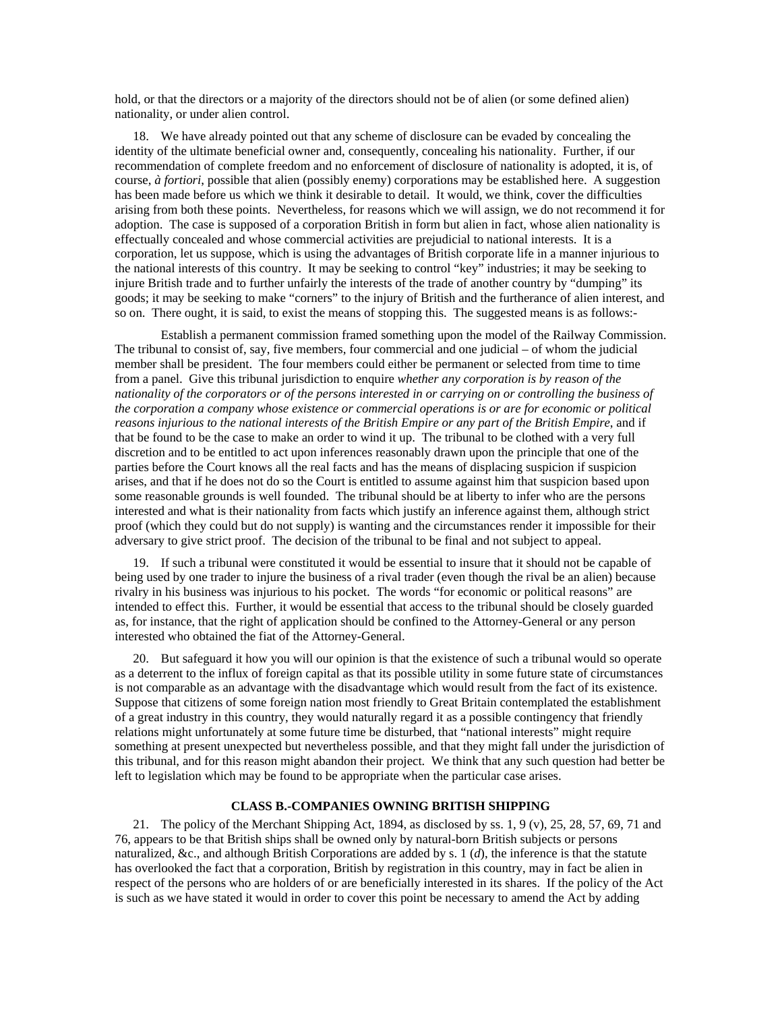hold, or that the directors or a majority of the directors should not be of alien (or some defined alien) nationality, or under alien control.

18. We have already pointed out that any scheme of disclosure can be evaded by concealing the identity of the ultimate beneficial owner and, consequently, concealing his nationality. Further, if our recommendation of complete freedom and no enforcement of disclosure of nationality is adopted, it is, of course, *à fortiori*, possible that alien (possibly enemy) corporations may be established here. A suggestion has been made before us which we think it desirable to detail. It would, we think, cover the difficulties arising from both these points. Nevertheless, for reasons which we will assign, we do not recommend it for adoption. The case is supposed of a corporation British in form but alien in fact, whose alien nationality is effectually concealed and whose commercial activities are prejudicial to national interests. It is a corporation, let us suppose, which is using the advantages of British corporate life in a manner injurious to the national interests of this country. It may be seeking to control "key" industries; it may be seeking to injure British trade and to further unfairly the interests of the trade of another country by "dumping" its goods; it may be seeking to make "corners" to the injury of British and the furtherance of alien interest, and so on. There ought, it is said, to exist the means of stopping this. The suggested means is as follows:-

 Establish a permanent commission framed something upon the model of the Railway Commission. The tribunal to consist of, say, five members, four commercial and one judicial – of whom the judicial member shall be president. The four members could either be permanent or selected from time to time from a panel. Give this tribunal jurisdiction to enquire *whether any corporation is by reason of the nationality of the corporators or of the persons interested in or carrying on or controlling the business of the corporation a company whose existence or commercial operations is or are for economic or political reasons injurious to the national interests of the British Empire or any part of the British Empire*, and if that be found to be the case to make an order to wind it up. The tribunal to be clothed with a very full discretion and to be entitled to act upon inferences reasonably drawn upon the principle that one of the parties before the Court knows all the real facts and has the means of displacing suspicion if suspicion arises, and that if he does not do so the Court is entitled to assume against him that suspicion based upon some reasonable grounds is well founded. The tribunal should be at liberty to infer who are the persons interested and what is their nationality from facts which justify an inference against them, although strict proof (which they could but do not supply) is wanting and the circumstances render it impossible for their adversary to give strict proof. The decision of the tribunal to be final and not subject to appeal.

19. If such a tribunal were constituted it would be essential to insure that it should not be capable of being used by one trader to injure the business of a rival trader (even though the rival be an alien) because rivalry in his business was injurious to his pocket. The words "for economic or political reasons" are intended to effect this. Further, it would be essential that access to the tribunal should be closely guarded as, for instance, that the right of application should be confined to the Attorney-General or any person interested who obtained the fiat of the Attorney-General.

20. But safeguard it how you will our opinion is that the existence of such a tribunal would so operate as a deterrent to the influx of foreign capital as that its possible utility in some future state of circumstances is not comparable as an advantage with the disadvantage which would result from the fact of its existence. Suppose that citizens of some foreign nation most friendly to Great Britain contemplated the establishment of a great industry in this country, they would naturally regard it as a possible contingency that friendly relations might unfortunately at some future time be disturbed, that "national interests" might require something at present unexpected but nevertheless possible, and that they might fall under the jurisdiction of this tribunal, and for this reason might abandon their project. We think that any such question had better be left to legislation which may be found to be appropriate when the particular case arises.

#### **CLASS B.-COMPANIES OWNING BRITISH SHIPPING**

21. The policy of the Merchant Shipping Act, 1894, as disclosed by ss. 1, 9 (v), 25, 28, 57, 69, 71 and 76, appears to be that British ships shall be owned only by natural-born British subjects or persons naturalized, &c., and although British Corporations are added by s. 1 (*d*), the inference is that the statute has overlooked the fact that a corporation, British by registration in this country, may in fact be alien in respect of the persons who are holders of or are beneficially interested in its shares. If the policy of the Act is such as we have stated it would in order to cover this point be necessary to amend the Act by adding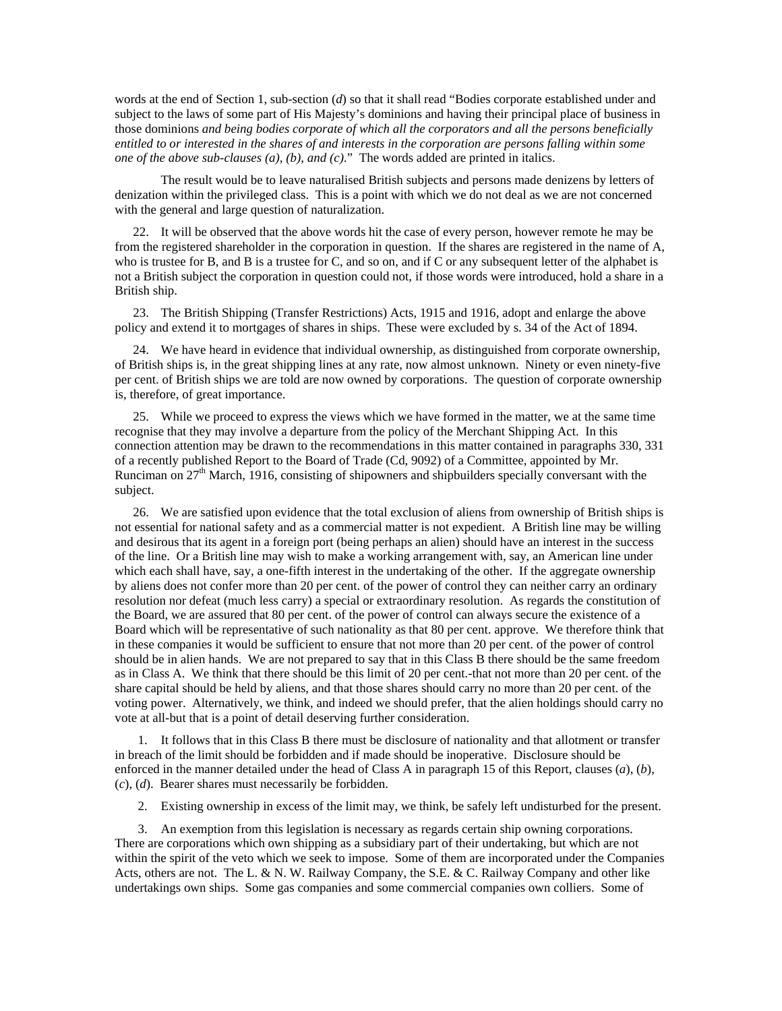words at the end of Section 1, sub-section (*d*) so that it shall read "Bodies corporate established under and subject to the laws of some part of His Majesty's dominions and having their principal place of business in those dominions *and being bodies corporate of which all the corporators and all the persons beneficially entitled to or interested in the shares of and interests in the corporation are persons falling within some one of the above sub-clauses (a), (b), and (c)*." The words added are printed in italics.

 The result would be to leave naturalised British subjects and persons made denizens by letters of denization within the privileged class. This is a point with which we do not deal as we are not concerned with the general and large question of naturalization.

22. It will be observed that the above words hit the case of every person, however remote he may be from the registered shareholder in the corporation in question. If the shares are registered in the name of A, who is trustee for B, and B is a trustee for C, and so on, and if C or any subsequent letter of the alphabet is not a British subject the corporation in question could not, if those words were introduced, hold a share in a British ship.

23. The British Shipping (Transfer Restrictions) Acts, 1915 and 1916, adopt and enlarge the above policy and extend it to mortgages of shares in ships. These were excluded by s. 34 of the Act of 1894.

24. We have heard in evidence that individual ownership, as distinguished from corporate ownership, of British ships is, in the great shipping lines at any rate, now almost unknown. Ninety or even ninety-five per cent. of British ships we are told are now owned by corporations. The question of corporate ownership is, therefore, of great importance.

25. While we proceed to express the views which we have formed in the matter, we at the same time recognise that they may involve a departure from the policy of the Merchant Shipping Act. In this connection attention may be drawn to the recommendations in this matter contained in paragraphs 330, 331 of a recently published Report to the Board of Trade (Cd, 9092) of a Committee, appointed by Mr. Runciman on  $27<sup>th</sup>$  March, 1916, consisting of shipowners and shipbuilders specially conversant with the subject.

26. We are satisfied upon evidence that the total exclusion of aliens from ownership of British ships is not essential for national safety and as a commercial matter is not expedient. A British line may be willing and desirous that its agent in a foreign port (being perhaps an alien) should have an interest in the success of the line. Or a British line may wish to make a working arrangement with, say, an American line under which each shall have, say, a one-fifth interest in the undertaking of the other. If the aggregate ownership by aliens does not confer more than 20 per cent. of the power of control they can neither carry an ordinary resolution nor defeat (much less carry) a special or extraordinary resolution. As regards the constitution of the Board, we are assured that 80 per cent. of the power of control can always secure the existence of a Board which will be representative of such nationality as that 80 per cent. approve. We therefore think that in these companies it would be sufficient to ensure that not more than 20 per cent. of the power of control should be in alien hands. We are not prepared to say that in this Class B there should be the same freedom as in Class A. We think that there should be this limit of 20 per cent.-that not more than 20 per cent. of the share capital should be held by aliens, and that those shares should carry no more than 20 per cent. of the voting power. Alternatively, we think, and indeed we should prefer, that the alien holdings should carry no vote at all-but that is a point of detail deserving further consideration.

1. It follows that in this Class B there must be disclosure of nationality and that allotment or transfer in breach of the limit should be forbidden and if made should be inoperative. Disclosure should be enforced in the manner detailed under the head of Class A in paragraph 15 of this Report, clauses (*a*), (*b*), (*c*), (*d*). Bearer shares must necessarily be forbidden.

2. Existing ownership in excess of the limit may, we think, be safely left undisturbed for the present.

3. An exemption from this legislation is necessary as regards certain ship owning corporations. There are corporations which own shipping as a subsidiary part of their undertaking, but which are not within the spirit of the veto which we seek to impose. Some of them are incorporated under the Companies Acts, others are not. The L. & N. W. Railway Company, the S.E. & C. Railway Company and other like undertakings own ships. Some gas companies and some commercial companies own colliers. Some of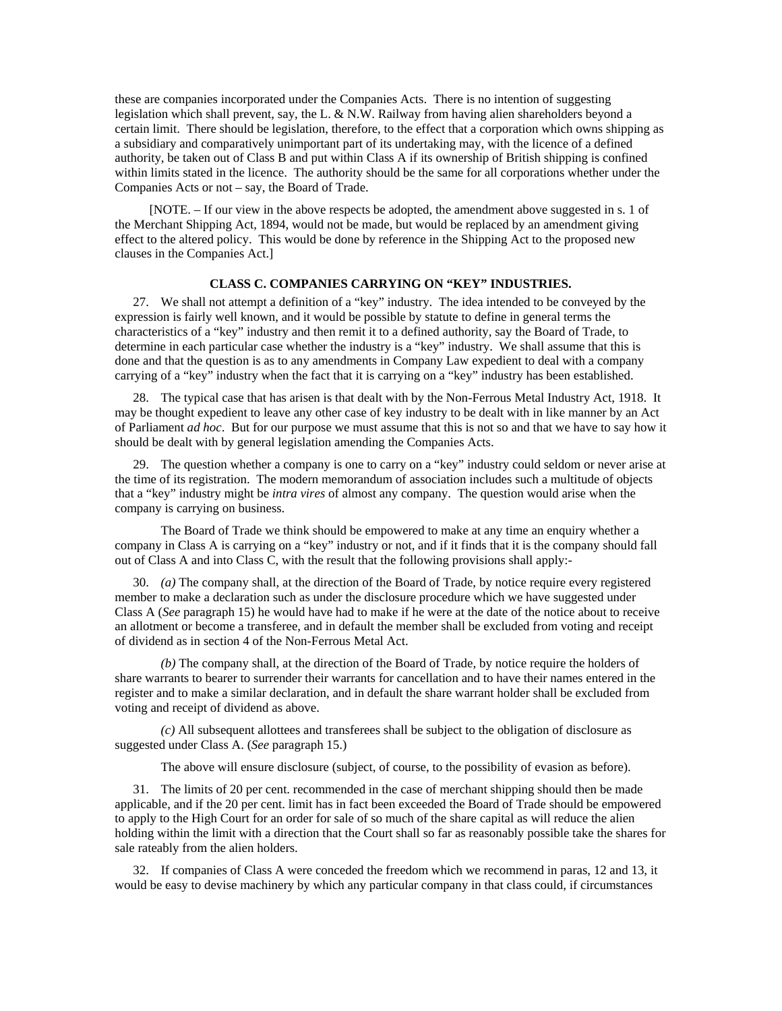these are companies incorporated under the Companies Acts. There is no intention of suggesting legislation which shall prevent, say, the L.  $\&$  N.W. Railway from having alien shareholders beyond a certain limit. There should be legislation, therefore, to the effect that a corporation which owns shipping as a subsidiary and comparatively unimportant part of its undertaking may, with the licence of a defined authority, be taken out of Class B and put within Class A if its ownership of British shipping is confined within limits stated in the licence. The authority should be the same for all corporations whether under the Companies Acts or not – say, the Board of Trade.

 [NOTE. – If our view in the above respects be adopted, the amendment above suggested in s. 1 of the Merchant Shipping Act, 1894, would not be made, but would be replaced by an amendment giving effect to the altered policy. This would be done by reference in the Shipping Act to the proposed new clauses in the Companies Act.]

# **CLASS C. COMPANIES CARRYING ON "KEY" INDUSTRIES.**

27. We shall not attempt a definition of a "key" industry. The idea intended to be conveyed by the expression is fairly well known, and it would be possible by statute to define in general terms the characteristics of a "key" industry and then remit it to a defined authority, say the Board of Trade, to determine in each particular case whether the industry is a "key" industry. We shall assume that this is done and that the question is as to any amendments in Company Law expedient to deal with a company carrying of a "key" industry when the fact that it is carrying on a "key" industry has been established.

28. The typical case that has arisen is that dealt with by the Non-Ferrous Metal Industry Act, 1918. It may be thought expedient to leave any other case of key industry to be dealt with in like manner by an Act of Parliament *ad hoc*. But for our purpose we must assume that this is not so and that we have to say how it should be dealt with by general legislation amending the Companies Acts.

29. The question whether a company is one to carry on a "key" industry could seldom or never arise at the time of its registration. The modern memorandum of association includes such a multitude of objects that a "key" industry might be *intra vires* of almost any company. The question would arise when the company is carrying on business.

The Board of Trade we think should be empowered to make at any time an enquiry whether a company in Class A is carrying on a "key" industry or not, and if it finds that it is the company should fall out of Class A and into Class C, with the result that the following provisions shall apply:-

30. *(a)* The company shall, at the direction of the Board of Trade, by notice require every registered member to make a declaration such as under the disclosure procedure which we have suggested under Class A (*See* paragraph 15) he would have had to make if he were at the date of the notice about to receive an allotment or become a transferee, and in default the member shall be excluded from voting and receipt of dividend as in section 4 of the Non-Ferrous Metal Act.

*(b)* The company shall, at the direction of the Board of Trade, by notice require the holders of share warrants to bearer to surrender their warrants for cancellation and to have their names entered in the register and to make a similar declaration, and in default the share warrant holder shall be excluded from voting and receipt of dividend as above.

*(c)* All subsequent allottees and transferees shall be subject to the obligation of disclosure as suggested under Class A. (*See* paragraph 15.)

The above will ensure disclosure (subject, of course, to the possibility of evasion as before).

31. The limits of 20 per cent. recommended in the case of merchant shipping should then be made applicable, and if the 20 per cent. limit has in fact been exceeded the Board of Trade should be empowered to apply to the High Court for an order for sale of so much of the share capital as will reduce the alien holding within the limit with a direction that the Court shall so far as reasonably possible take the shares for sale rateably from the alien holders.

32. If companies of Class A were conceded the freedom which we recommend in paras, 12 and 13, it would be easy to devise machinery by which any particular company in that class could, if circumstances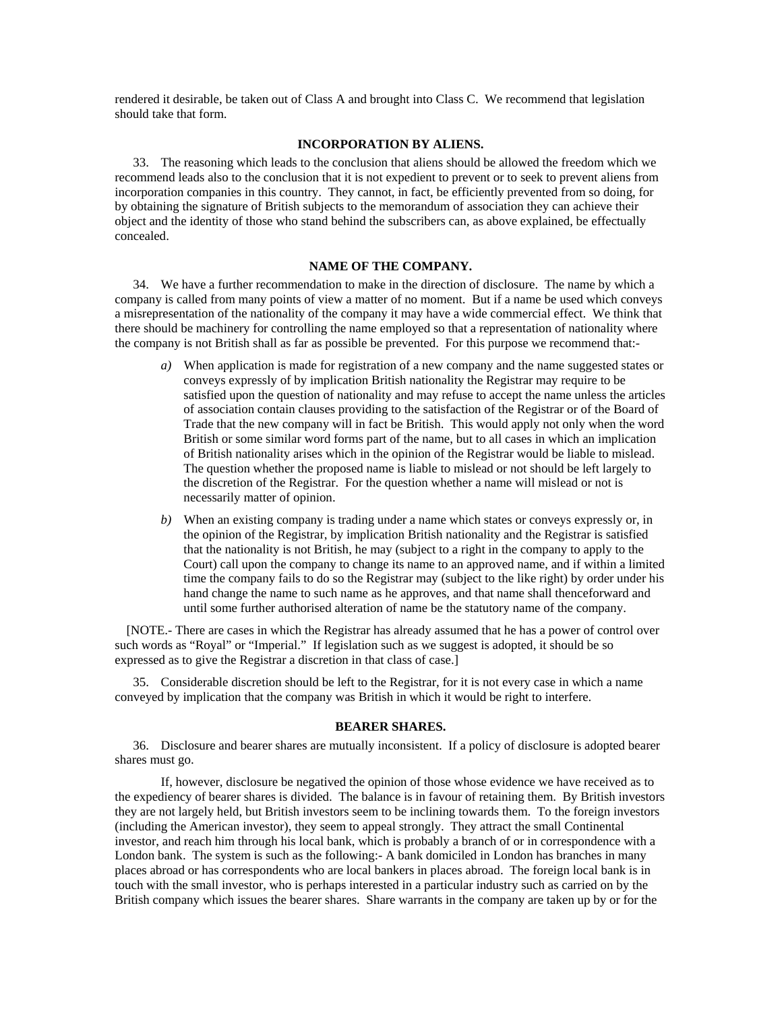rendered it desirable, be taken out of Class A and brought into Class C. We recommend that legislation should take that form.

### **INCORPORATION BY ALIENS.**

33. The reasoning which leads to the conclusion that aliens should be allowed the freedom which we recommend leads also to the conclusion that it is not expedient to prevent or to seek to prevent aliens from incorporation companies in this country. They cannot, in fact, be efficiently prevented from so doing, for by obtaining the signature of British subjects to the memorandum of association they can achieve their object and the identity of those who stand behind the subscribers can, as above explained, be effectually concealed.

### **NAME OF THE COMPANY.**

34. We have a further recommendation to make in the direction of disclosure. The name by which a company is called from many points of view a matter of no moment. But if a name be used which conveys a misrepresentation of the nationality of the company it may have a wide commercial effect. We think that there should be machinery for controlling the name employed so that a representation of nationality where the company is not British shall as far as possible be prevented. For this purpose we recommend that:-

- *a)* When application is made for registration of a new company and the name suggested states or conveys expressly of by implication British nationality the Registrar may require to be satisfied upon the question of nationality and may refuse to accept the name unless the articles of association contain clauses providing to the satisfaction of the Registrar or of the Board of Trade that the new company will in fact be British. This would apply not only when the word British or some similar word forms part of the name, but to all cases in which an implication of British nationality arises which in the opinion of the Registrar would be liable to mislead. The question whether the proposed name is liable to mislead or not should be left largely to the discretion of the Registrar. For the question whether a name will mislead or not is necessarily matter of opinion.
- *b)* When an existing company is trading under a name which states or conveys expressly or, in the opinion of the Registrar, by implication British nationality and the Registrar is satisfied that the nationality is not British, he may (subject to a right in the company to apply to the Court) call upon the company to change its name to an approved name, and if within a limited time the company fails to do so the Registrar may (subject to the like right) by order under his hand change the name to such name as he approves, and that name shall thenceforward and until some further authorised alteration of name be the statutory name of the company.

[NOTE.- There are cases in which the Registrar has already assumed that he has a power of control over such words as "Royal" or "Imperial." If legislation such as we suggest is adopted, it should be so expressed as to give the Registrar a discretion in that class of case.]

35. Considerable discretion should be left to the Registrar, for it is not every case in which a name conveyed by implication that the company was British in which it would be right to interfere.

#### **BEARER SHARES.**

36. Disclosure and bearer shares are mutually inconsistent. If a policy of disclosure is adopted bearer shares must go.

If, however, disclosure be negatived the opinion of those whose evidence we have received as to the expediency of bearer shares is divided. The balance is in favour of retaining them. By British investors they are not largely held, but British investors seem to be inclining towards them. To the foreign investors (including the American investor), they seem to appeal strongly. They attract the small Continental investor, and reach him through his local bank, which is probably a branch of or in correspondence with a London bank. The system is such as the following:- A bank domiciled in London has branches in many places abroad or has correspondents who are local bankers in places abroad. The foreign local bank is in touch with the small investor, who is perhaps interested in a particular industry such as carried on by the British company which issues the bearer shares. Share warrants in the company are taken up by or for the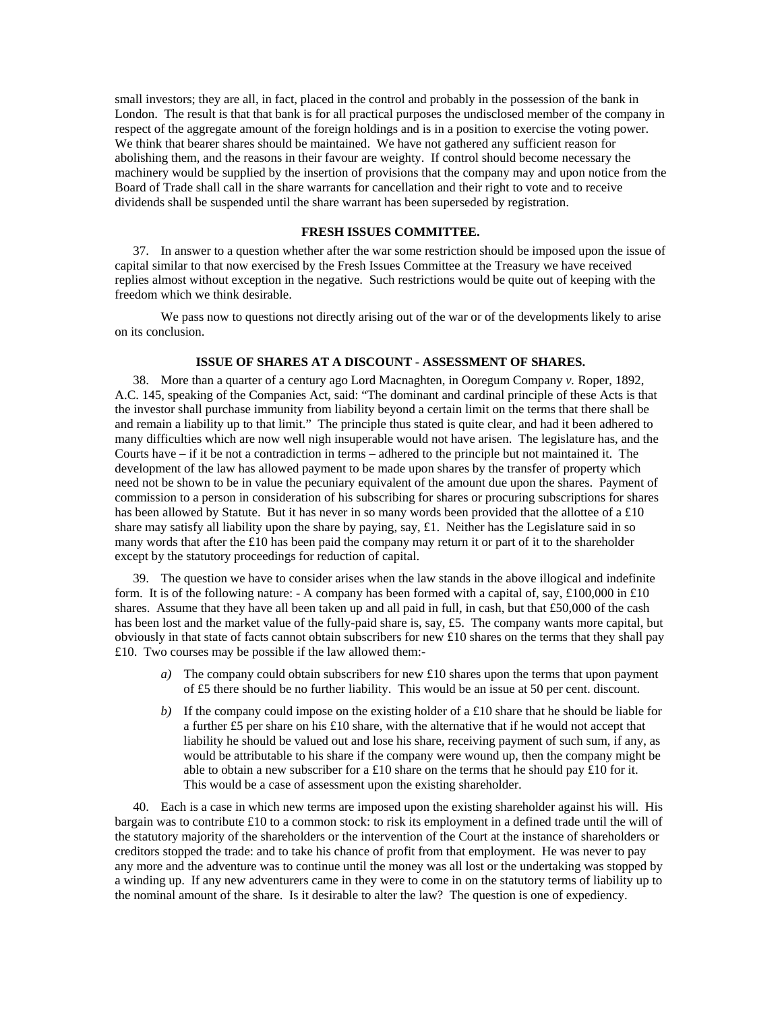small investors; they are all, in fact, placed in the control and probably in the possession of the bank in London. The result is that that bank is for all practical purposes the undisclosed member of the company in respect of the aggregate amount of the foreign holdings and is in a position to exercise the voting power. We think that bearer shares should be maintained. We have not gathered any sufficient reason for abolishing them, and the reasons in their favour are weighty. If control should become necessary the machinery would be supplied by the insertion of provisions that the company may and upon notice from the Board of Trade shall call in the share warrants for cancellation and their right to vote and to receive dividends shall be suspended until the share warrant has been superseded by registration.

## **FRESH ISSUES COMMITTEE.**

37. In answer to a question whether after the war some restriction should be imposed upon the issue of capital similar to that now exercised by the Fresh Issues Committee at the Treasury we have received replies almost without exception in the negative. Such restrictions would be quite out of keeping with the freedom which we think desirable.

We pass now to questions not directly arising out of the war or of the developments likely to arise on its conclusion.

### **ISSUE OF SHARES AT A DISCOUNT - ASSESSMENT OF SHARES.**

38. More than a quarter of a century ago Lord Macnaghten, in Ooregum Company *v.* Roper, 1892, A.C. 145, speaking of the Companies Act, said: "The dominant and cardinal principle of these Acts is that the investor shall purchase immunity from liability beyond a certain limit on the terms that there shall be and remain a liability up to that limit." The principle thus stated is quite clear, and had it been adhered to many difficulties which are now well nigh insuperable would not have arisen. The legislature has, and the Courts have – if it be not a contradiction in terms – adhered to the principle but not maintained it. The development of the law has allowed payment to be made upon shares by the transfer of property which need not be shown to be in value the pecuniary equivalent of the amount due upon the shares. Payment of commission to a person in consideration of his subscribing for shares or procuring subscriptions for shares has been allowed by Statute. But it has never in so many words been provided that the allottee of a £10 share may satisfy all liability upon the share by paying, say, £1. Neither has the Legislature said in so many words that after the £10 has been paid the company may return it or part of it to the shareholder except by the statutory proceedings for reduction of capital.

39. The question we have to consider arises when the law stands in the above illogical and indefinite form. It is of the following nature: - A company has been formed with a capital of, say, £100,000 in £10 shares. Assume that they have all been taken up and all paid in full, in cash, but that £50,000 of the cash has been lost and the market value of the fully-paid share is, say, £5. The company wants more capital, but obviously in that state of facts cannot obtain subscribers for new £10 shares on the terms that they shall pay £10. Two courses may be possible if the law allowed them:-

- *a)* The company could obtain subscribers for new £10 shares upon the terms that upon payment of £5 there should be no further liability. This would be an issue at 50 per cent. discount.
- *b*) If the company could impose on the existing holder of a £10 share that he should be liable for a further £5 per share on his £10 share, with the alternative that if he would not accept that liability he should be valued out and lose his share, receiving payment of such sum, if any, as would be attributable to his share if the company were wound up, then the company might be able to obtain a new subscriber for a £10 share on the terms that he should pay £10 for it. This would be a case of assessment upon the existing shareholder.

40. Each is a case in which new terms are imposed upon the existing shareholder against his will. His bargain was to contribute £10 to a common stock: to risk its employment in a defined trade until the will of the statutory majority of the shareholders or the intervention of the Court at the instance of shareholders or creditors stopped the trade: and to take his chance of profit from that employment. He was never to pay any more and the adventure was to continue until the money was all lost or the undertaking was stopped by a winding up. If any new adventurers came in they were to come in on the statutory terms of liability up to the nominal amount of the share. Is it desirable to alter the law? The question is one of expediency.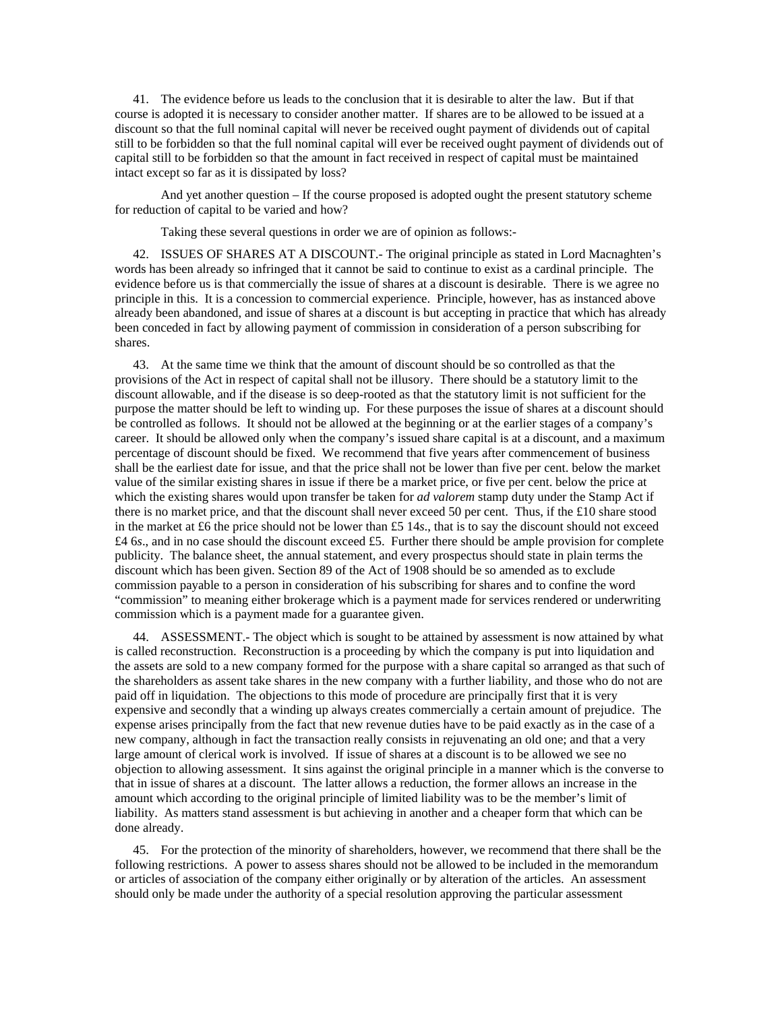41. The evidence before us leads to the conclusion that it is desirable to alter the law. But if that course is adopted it is necessary to consider another matter. If shares are to be allowed to be issued at a discount so that the full nominal capital will never be received ought payment of dividends out of capital still to be forbidden so that the full nominal capital will ever be received ought payment of dividends out of capital still to be forbidden so that the amount in fact received in respect of capital must be maintained intact except so far as it is dissipated by loss?

And yet another question – If the course proposed is adopted ought the present statutory scheme for reduction of capital to be varied and how?

Taking these several questions in order we are of opinion as follows:-

42. ISSUES OF SHARES AT A DISCOUNT.- The original principle as stated in Lord Macnaghten's words has been already so infringed that it cannot be said to continue to exist as a cardinal principle. The evidence before us is that commercially the issue of shares at a discount is desirable. There is we agree no principle in this. It is a concession to commercial experience. Principle, however, has as instanced above already been abandoned, and issue of shares at a discount is but accepting in practice that which has already been conceded in fact by allowing payment of commission in consideration of a person subscribing for shares.

43. At the same time we think that the amount of discount should be so controlled as that the provisions of the Act in respect of capital shall not be illusory. There should be a statutory limit to the discount allowable, and if the disease is so deep-rooted as that the statutory limit is not sufficient for the purpose the matter should be left to winding up. For these purposes the issue of shares at a discount should be controlled as follows. It should not be allowed at the beginning or at the earlier stages of a company's career. It should be allowed only when the company's issued share capital is at a discount, and a maximum percentage of discount should be fixed. We recommend that five years after commencement of business shall be the earliest date for issue, and that the price shall not be lower than five per cent. below the market value of the similar existing shares in issue if there be a market price, or five per cent. below the price at which the existing shares would upon transfer be taken for *ad valorem* stamp duty under the Stamp Act if there is no market price, and that the discount shall never exceed 50 per cent. Thus, if the £10 share stood in the market at £6 the price should not be lower than £5 14*s*., that is to say the discount should not exceed £4 6*s*., and in no case should the discount exceed £5. Further there should be ample provision for complete publicity. The balance sheet, the annual statement, and every prospectus should state in plain terms the discount which has been given. Section 89 of the Act of 1908 should be so amended as to exclude commission payable to a person in consideration of his subscribing for shares and to confine the word "commission" to meaning either brokerage which is a payment made for services rendered or underwriting commission which is a payment made for a guarantee given.

44. ASSESSMENT.- The object which is sought to be attained by assessment is now attained by what is called reconstruction. Reconstruction is a proceeding by which the company is put into liquidation and the assets are sold to a new company formed for the purpose with a share capital so arranged as that such of the shareholders as assent take shares in the new company with a further liability, and those who do not are paid off in liquidation. The objections to this mode of procedure are principally first that it is very expensive and secondly that a winding up always creates commercially a certain amount of prejudice. The expense arises principally from the fact that new revenue duties have to be paid exactly as in the case of a new company, although in fact the transaction really consists in rejuvenating an old one; and that a very large amount of clerical work is involved. If issue of shares at a discount is to be allowed we see no objection to allowing assessment. It sins against the original principle in a manner which is the converse to that in issue of shares at a discount. The latter allows a reduction, the former allows an increase in the amount which according to the original principle of limited liability was to be the member's limit of liability. As matters stand assessment is but achieving in another and a cheaper form that which can be done already.

45. For the protection of the minority of shareholders, however, we recommend that there shall be the following restrictions. A power to assess shares should not be allowed to be included in the memorandum or articles of association of the company either originally or by alteration of the articles. An assessment should only be made under the authority of a special resolution approving the particular assessment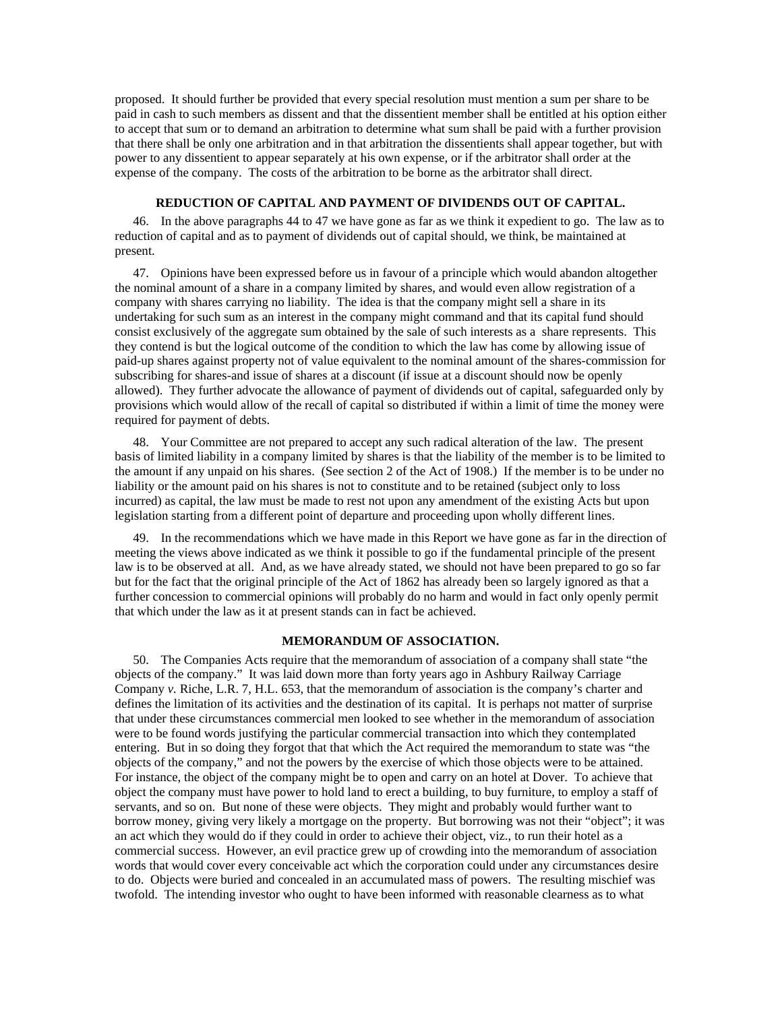proposed. It should further be provided that every special resolution must mention a sum per share to be paid in cash to such members as dissent and that the dissentient member shall be entitled at his option either to accept that sum or to demand an arbitration to determine what sum shall be paid with a further provision that there shall be only one arbitration and in that arbitration the dissentients shall appear together, but with power to any dissentient to appear separately at his own expense, or if the arbitrator shall order at the expense of the company. The costs of the arbitration to be borne as the arbitrator shall direct.

### **REDUCTION OF CAPITAL AND PAYMENT OF DIVIDENDS OUT OF CAPITAL.**

46. In the above paragraphs 44 to 47 we have gone as far as we think it expedient to go. The law as to reduction of capital and as to payment of dividends out of capital should, we think, be maintained at present.

47. Opinions have been expressed before us in favour of a principle which would abandon altogether the nominal amount of a share in a company limited by shares, and would even allow registration of a company with shares carrying no liability. The idea is that the company might sell a share in its undertaking for such sum as an interest in the company might command and that its capital fund should consist exclusively of the aggregate sum obtained by the sale of such interests as a share represents. This they contend is but the logical outcome of the condition to which the law has come by allowing issue of paid-up shares against property not of value equivalent to the nominal amount of the shares-commission for subscribing for shares-and issue of shares at a discount (if issue at a discount should now be openly allowed). They further advocate the allowance of payment of dividends out of capital, safeguarded only by provisions which would allow of the recall of capital so distributed if within a limit of time the money were required for payment of debts.

48. Your Committee are not prepared to accept any such radical alteration of the law. The present basis of limited liability in a company limited by shares is that the liability of the member is to be limited to the amount if any unpaid on his shares. (See section 2 of the Act of 1908.) If the member is to be under no liability or the amount paid on his shares is not to constitute and to be retained (subject only to loss incurred) as capital, the law must be made to rest not upon any amendment of the existing Acts but upon legislation starting from a different point of departure and proceeding upon wholly different lines.

49. In the recommendations which we have made in this Report we have gone as far in the direction of meeting the views above indicated as we think it possible to go if the fundamental principle of the present law is to be observed at all. And, as we have already stated, we should not have been prepared to go so far but for the fact that the original principle of the Act of 1862 has already been so largely ignored as that a further concession to commercial opinions will probably do no harm and would in fact only openly permit that which under the law as it at present stands can in fact be achieved.

### **MEMORANDUM OF ASSOCIATION.**

50. The Companies Acts require that the memorandum of association of a company shall state "the objects of the company." It was laid down more than forty years ago in Ashbury Railway Carriage Company *v.* Riche, L.R. 7, H.L. 653, that the memorandum of association is the company's charter and defines the limitation of its activities and the destination of its capital. It is perhaps not matter of surprise that under these circumstances commercial men looked to see whether in the memorandum of association were to be found words justifying the particular commercial transaction into which they contemplated entering. But in so doing they forgot that that which the Act required the memorandum to state was "the objects of the company," and not the powers by the exercise of which those objects were to be attained. For instance, the object of the company might be to open and carry on an hotel at Dover. To achieve that object the company must have power to hold land to erect a building, to buy furniture, to employ a staff of servants, and so on. But none of these were objects. They might and probably would further want to borrow money, giving very likely a mortgage on the property. But borrowing was not their "object"; it was an act which they would do if they could in order to achieve their object, viz., to run their hotel as a commercial success. However, an evil practice grew up of crowding into the memorandum of association words that would cover every conceivable act which the corporation could under any circumstances desire to do. Objects were buried and concealed in an accumulated mass of powers. The resulting mischief was twofold. The intending investor who ought to have been informed with reasonable clearness as to what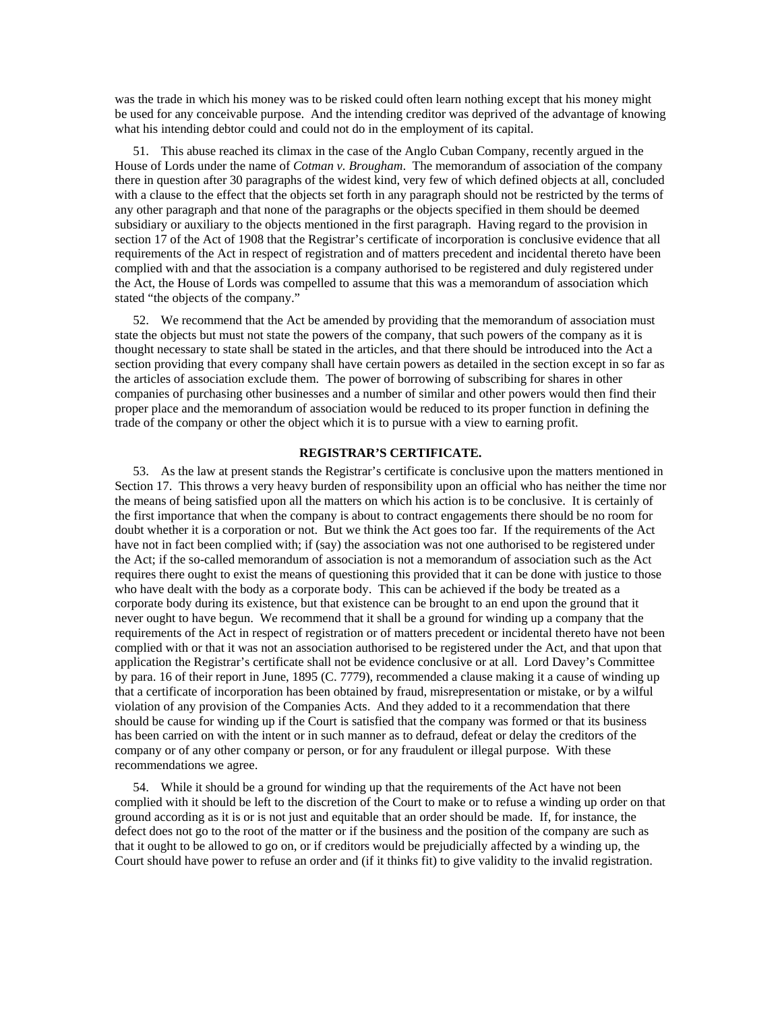was the trade in which his money was to be risked could often learn nothing except that his money might be used for any conceivable purpose. And the intending creditor was deprived of the advantage of knowing what his intending debtor could and could not do in the employment of its capital.

51. This abuse reached its climax in the case of the Anglo Cuban Company, recently argued in the House of Lords under the name of *Cotman v. Brougham*. The memorandum of association of the company there in question after 30 paragraphs of the widest kind, very few of which defined objects at all, concluded with a clause to the effect that the objects set forth in any paragraph should not be restricted by the terms of any other paragraph and that none of the paragraphs or the objects specified in them should be deemed subsidiary or auxiliary to the objects mentioned in the first paragraph. Having regard to the provision in section 17 of the Act of 1908 that the Registrar's certificate of incorporation is conclusive evidence that all requirements of the Act in respect of registration and of matters precedent and incidental thereto have been complied with and that the association is a company authorised to be registered and duly registered under the Act, the House of Lords was compelled to assume that this was a memorandum of association which stated "the objects of the company."

52. We recommend that the Act be amended by providing that the memorandum of association must state the objects but must not state the powers of the company, that such powers of the company as it is thought necessary to state shall be stated in the articles, and that there should be introduced into the Act a section providing that every company shall have certain powers as detailed in the section except in so far as the articles of association exclude them. The power of borrowing of subscribing for shares in other companies of purchasing other businesses and a number of similar and other powers would then find their proper place and the memorandum of association would be reduced to its proper function in defining the trade of the company or other the object which it is to pursue with a view to earning profit.

# **REGISTRAR'S CERTIFICATE.**

53. As the law at present stands the Registrar's certificate is conclusive upon the matters mentioned in Section 17. This throws a very heavy burden of responsibility upon an official who has neither the time nor the means of being satisfied upon all the matters on which his action is to be conclusive. It is certainly of the first importance that when the company is about to contract engagements there should be no room for doubt whether it is a corporation or not. But we think the Act goes too far. If the requirements of the Act have not in fact been complied with; if (say) the association was not one authorised to be registered under the Act; if the so-called memorandum of association is not a memorandum of association such as the Act requires there ought to exist the means of questioning this provided that it can be done with justice to those who have dealt with the body as a corporate body. This can be achieved if the body be treated as a corporate body during its existence, but that existence can be brought to an end upon the ground that it never ought to have begun. We recommend that it shall be a ground for winding up a company that the requirements of the Act in respect of registration or of matters precedent or incidental thereto have not been complied with or that it was not an association authorised to be registered under the Act, and that upon that application the Registrar's certificate shall not be evidence conclusive or at all. Lord Davey's Committee by para. 16 of their report in June, 1895 (C. 7779), recommended a clause making it a cause of winding up that a certificate of incorporation has been obtained by fraud, misrepresentation or mistake, or by a wilful violation of any provision of the Companies Acts. And they added to it a recommendation that there should be cause for winding up if the Court is satisfied that the company was formed or that its business has been carried on with the intent or in such manner as to defraud, defeat or delay the creditors of the company or of any other company or person, or for any fraudulent or illegal purpose. With these recommendations we agree.

54. While it should be a ground for winding up that the requirements of the Act have not been complied with it should be left to the discretion of the Court to make or to refuse a winding up order on that ground according as it is or is not just and equitable that an order should be made. If, for instance, the defect does not go to the root of the matter or if the business and the position of the company are such as that it ought to be allowed to go on, or if creditors would be prejudicially affected by a winding up, the Court should have power to refuse an order and (if it thinks fit) to give validity to the invalid registration.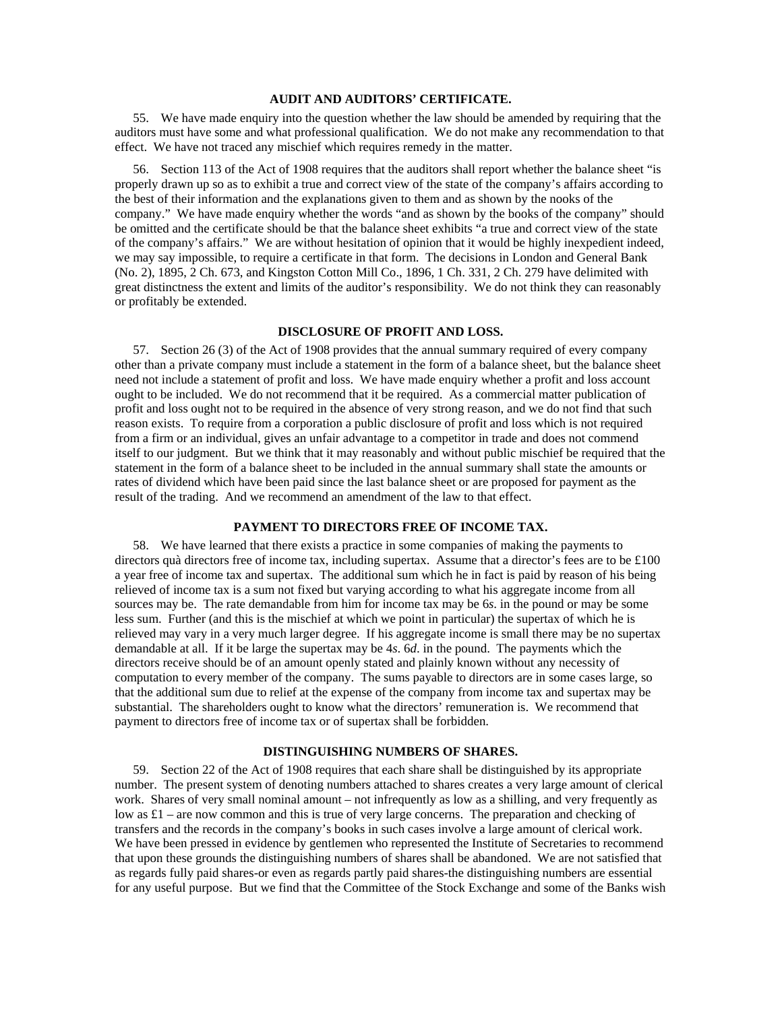## **AUDIT AND AUDITORS' CERTIFICATE.**

55. We have made enquiry into the question whether the law should be amended by requiring that the auditors must have some and what professional qualification. We do not make any recommendation to that effect. We have not traced any mischief which requires remedy in the matter.

56. Section 113 of the Act of 1908 requires that the auditors shall report whether the balance sheet "is properly drawn up so as to exhibit a true and correct view of the state of the company's affairs according to the best of their information and the explanations given to them and as shown by the nooks of the company." We have made enquiry whether the words "and as shown by the books of the company" should be omitted and the certificate should be that the balance sheet exhibits "a true and correct view of the state of the company's affairs." We are without hesitation of opinion that it would be highly inexpedient indeed, we may say impossible, to require a certificate in that form. The decisions in London and General Bank (No. 2), 1895, 2 Ch. 673, and Kingston Cotton Mill Co., 1896, 1 Ch. 331, 2 Ch. 279 have delimited with great distinctness the extent and limits of the auditor's responsibility. We do not think they can reasonably or profitably be extended.

### **DISCLOSURE OF PROFIT AND LOSS.**

57. Section 26 (3) of the Act of 1908 provides that the annual summary required of every company other than a private company must include a statement in the form of a balance sheet, but the balance sheet need not include a statement of profit and loss. We have made enquiry whether a profit and loss account ought to be included. We do not recommend that it be required. As a commercial matter publication of profit and loss ought not to be required in the absence of very strong reason, and we do not find that such reason exists. To require from a corporation a public disclosure of profit and loss which is not required from a firm or an individual, gives an unfair advantage to a competitor in trade and does not commend itself to our judgment. But we think that it may reasonably and without public mischief be required that the statement in the form of a balance sheet to be included in the annual summary shall state the amounts or rates of dividend which have been paid since the last balance sheet or are proposed for payment as the result of the trading. And we recommend an amendment of the law to that effect.

## **PAYMENT TO DIRECTORS FREE OF INCOME TAX.**

58. We have learned that there exists a practice in some companies of making the payments to directors quà directors free of income tax, including supertax. Assume that a director's fees are to be £100 a year free of income tax and supertax. The additional sum which he in fact is paid by reason of his being relieved of income tax is a sum not fixed but varying according to what his aggregate income from all sources may be. The rate demandable from him for income tax may be 6*s*. in the pound or may be some less sum. Further (and this is the mischief at which we point in particular) the supertax of which he is relieved may vary in a very much larger degree. If his aggregate income is small there may be no supertax demandable at all. If it be large the supertax may be 4*s*. 6*d*. in the pound. The payments which the directors receive should be of an amount openly stated and plainly known without any necessity of computation to every member of the company. The sums payable to directors are in some cases large, so that the additional sum due to relief at the expense of the company from income tax and supertax may be substantial. The shareholders ought to know what the directors' remuneration is. We recommend that payment to directors free of income tax or of supertax shall be forbidden.

### **DISTINGUISHING NUMBERS OF SHARES.**

59. Section 22 of the Act of 1908 requires that each share shall be distinguished by its appropriate number. The present system of denoting numbers attached to shares creates a very large amount of clerical work. Shares of very small nominal amount – not infrequently as low as a shilling, and very frequently as low as £1 – are now common and this is true of very large concerns. The preparation and checking of transfers and the records in the company's books in such cases involve a large amount of clerical work. We have been pressed in evidence by gentlemen who represented the Institute of Secretaries to recommend that upon these grounds the distinguishing numbers of shares shall be abandoned. We are not satisfied that as regards fully paid shares-or even as regards partly paid shares-the distinguishing numbers are essential for any useful purpose. But we find that the Committee of the Stock Exchange and some of the Banks wish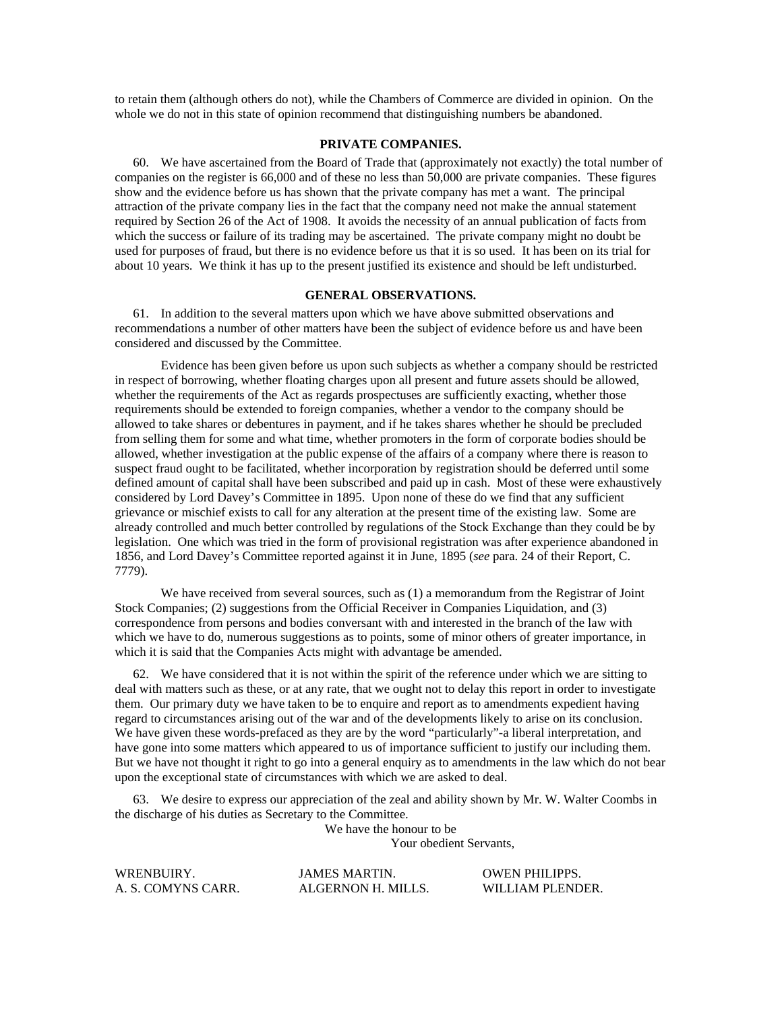to retain them (although others do not), while the Chambers of Commerce are divided in opinion. On the whole we do not in this state of opinion recommend that distinguishing numbers be abandoned.

#### **PRIVATE COMPANIES.**

60. We have ascertained from the Board of Trade that (approximately not exactly) the total number of companies on the register is 66,000 and of these no less than 50,000 are private companies. These figures show and the evidence before us has shown that the private company has met a want. The principal attraction of the private company lies in the fact that the company need not make the annual statement required by Section 26 of the Act of 1908. It avoids the necessity of an annual publication of facts from which the success or failure of its trading may be ascertained. The private company might no doubt be used for purposes of fraud, but there is no evidence before us that it is so used. It has been on its trial for about 10 years. We think it has up to the present justified its existence and should be left undisturbed.

### **GENERAL OBSERVATIONS.**

61. In addition to the several matters upon which we have above submitted observations and recommendations a number of other matters have been the subject of evidence before us and have been considered and discussed by the Committee.

Evidence has been given before us upon such subjects as whether a company should be restricted in respect of borrowing, whether floating charges upon all present and future assets should be allowed, whether the requirements of the Act as regards prospectuses are sufficiently exacting, whether those requirements should be extended to foreign companies, whether a vendor to the company should be allowed to take shares or debentures in payment, and if he takes shares whether he should be precluded from selling them for some and what time, whether promoters in the form of corporate bodies should be allowed, whether investigation at the public expense of the affairs of a company where there is reason to suspect fraud ought to be facilitated, whether incorporation by registration should be deferred until some defined amount of capital shall have been subscribed and paid up in cash. Most of these were exhaustively considered by Lord Davey's Committee in 1895. Upon none of these do we find that any sufficient grievance or mischief exists to call for any alteration at the present time of the existing law. Some are already controlled and much better controlled by regulations of the Stock Exchange than they could be by legislation. One which was tried in the form of provisional registration was after experience abandoned in 1856, and Lord Davey's Committee reported against it in June, 1895 (*see* para. 24 of their Report, C. 7779).

We have received from several sources, such as  $(1)$  a memorandum from the Registrar of Joint Stock Companies; (2) suggestions from the Official Receiver in Companies Liquidation, and (3) correspondence from persons and bodies conversant with and interested in the branch of the law with which we have to do, numerous suggestions as to points, some of minor others of greater importance, in which it is said that the Companies Acts might with advantage be amended.

62. We have considered that it is not within the spirit of the reference under which we are sitting to deal with matters such as these, or at any rate, that we ought not to delay this report in order to investigate them. Our primary duty we have taken to be to enquire and report as to amendments expedient having regard to circumstances arising out of the war and of the developments likely to arise on its conclusion. We have given these words-prefaced as they are by the word "particularly"-a liberal interpretation, and have gone into some matters which appeared to us of importance sufficient to justify our including them. But we have not thought it right to go into a general enquiry as to amendments in the law which do not bear upon the exceptional state of circumstances with which we are asked to deal.

63. We desire to express our appreciation of the zeal and ability shown by Mr. W. Walter Coombs in the discharge of his duties as Secretary to the Committee.

We have the honour to be

Your obedient Servants,

| WRENBUIRY.         | <b>JAMES MARTIN.</b> | <b>OWEN PHILIPPS.</b> |
|--------------------|----------------------|-----------------------|
| A. S. COMYNS CARR. | ALGERNON H. MILLS.   | WILLIAM PLENDER.      |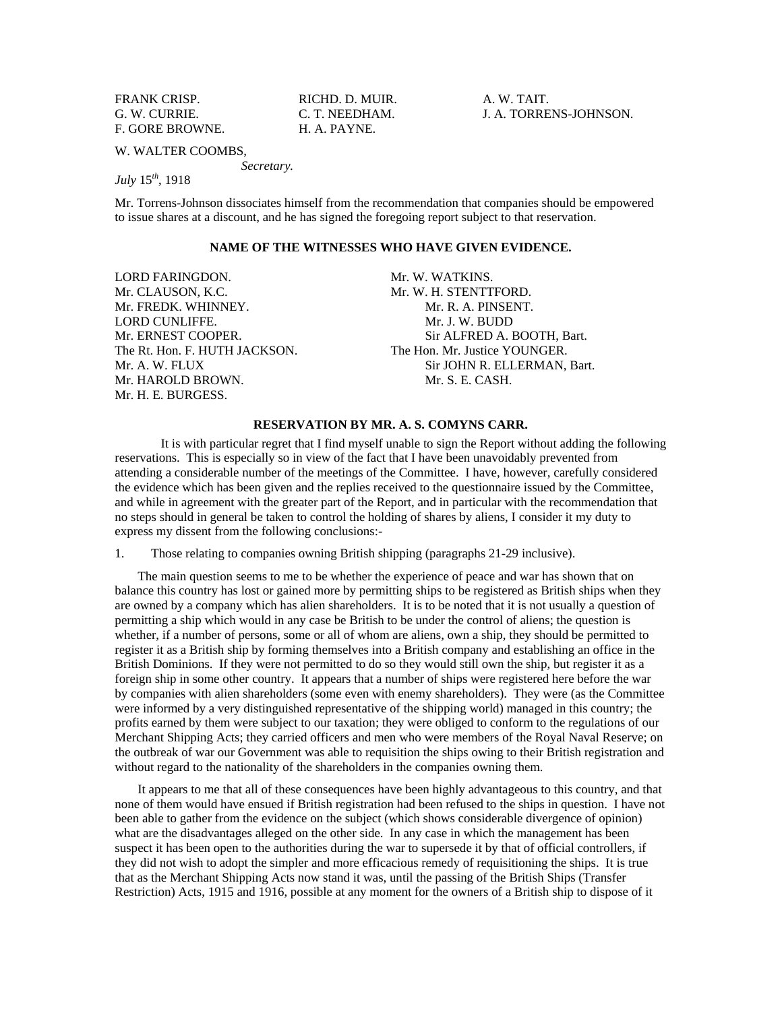FRANK CRISP. RICHD. D. MUIR. A. W. TAIT. F. GORE BROWNE. H. A. PAYNE.

G. W. CURRIE. C. T. NEEDHAM. J. A. TORRENS-JOHNSON.

W. WALTER COOMBS,

*Secretary.* 

*July* 15*th*, 1918

Mr. Torrens-Johnson dissociates himself from the recommendation that companies should be empowered to issue shares at a discount, and he has signed the foregoing report subject to that reservation.

# **NAME OF THE WITNESSES WHO HAVE GIVEN EVIDENCE.**

LORD FARINGDON. Mr. W. WATKINS. Mr. CLAUSON, K.C. Mr. W. H. STENTTFORD. Mr. FREDK. WHINNEY. **Mr. R. A. PINSENT.** LORD CUNLIFFE. Mr. J. W. BUDD Mr. HAROLD BROWN. Nr. S. E. CASH. Mr. H. E. BURGESS.

Mr. ERNEST COOPER. Sir ALFRED A. BOOTH, Bart. The Rt. Hon. F. HUTH JACKSON. The Hon. Mr. Justice YOUNGER. Mr. A. W. FLUX Sir JOHN R. ELLERMAN, Bart.

### **RESERVATION BY MR. A. S. COMYNS CARR.**

 It is with particular regret that I find myself unable to sign the Report without adding the following reservations. This is especially so in view of the fact that I have been unavoidably prevented from attending a considerable number of the meetings of the Committee. I have, however, carefully considered the evidence which has been given and the replies received to the questionnaire issued by the Committee, and while in agreement with the greater part of the Report, and in particular with the recommendation that no steps should in general be taken to control the holding of shares by aliens, I consider it my duty to express my dissent from the following conclusions:-

1. Those relating to companies owning British shipping (paragraphs 21-29 inclusive).

The main question seems to me to be whether the experience of peace and war has shown that on balance this country has lost or gained more by permitting ships to be registered as British ships when they are owned by a company which has alien shareholders. It is to be noted that it is not usually a question of permitting a ship which would in any case be British to be under the control of aliens; the question is whether, if a number of persons, some or all of whom are aliens, own a ship, they should be permitted to register it as a British ship by forming themselves into a British company and establishing an office in the British Dominions. If they were not permitted to do so they would still own the ship, but register it as a foreign ship in some other country. It appears that a number of ships were registered here before the war by companies with alien shareholders (some even with enemy shareholders). They were (as the Committee were informed by a very distinguished representative of the shipping world) managed in this country; the profits earned by them were subject to our taxation; they were obliged to conform to the regulations of our Merchant Shipping Acts; they carried officers and men who were members of the Royal Naval Reserve; on the outbreak of war our Government was able to requisition the ships owing to their British registration and without regard to the nationality of the shareholders in the companies owning them.

It appears to me that all of these consequences have been highly advantageous to this country, and that none of them would have ensued if British registration had been refused to the ships in question. I have not been able to gather from the evidence on the subject (which shows considerable divergence of opinion) what are the disadvantages alleged on the other side. In any case in which the management has been suspect it has been open to the authorities during the war to supersede it by that of official controllers, if they did not wish to adopt the simpler and more efficacious remedy of requisitioning the ships. It is true that as the Merchant Shipping Acts now stand it was, until the passing of the British Ships (Transfer Restriction) Acts, 1915 and 1916, possible at any moment for the owners of a British ship to dispose of it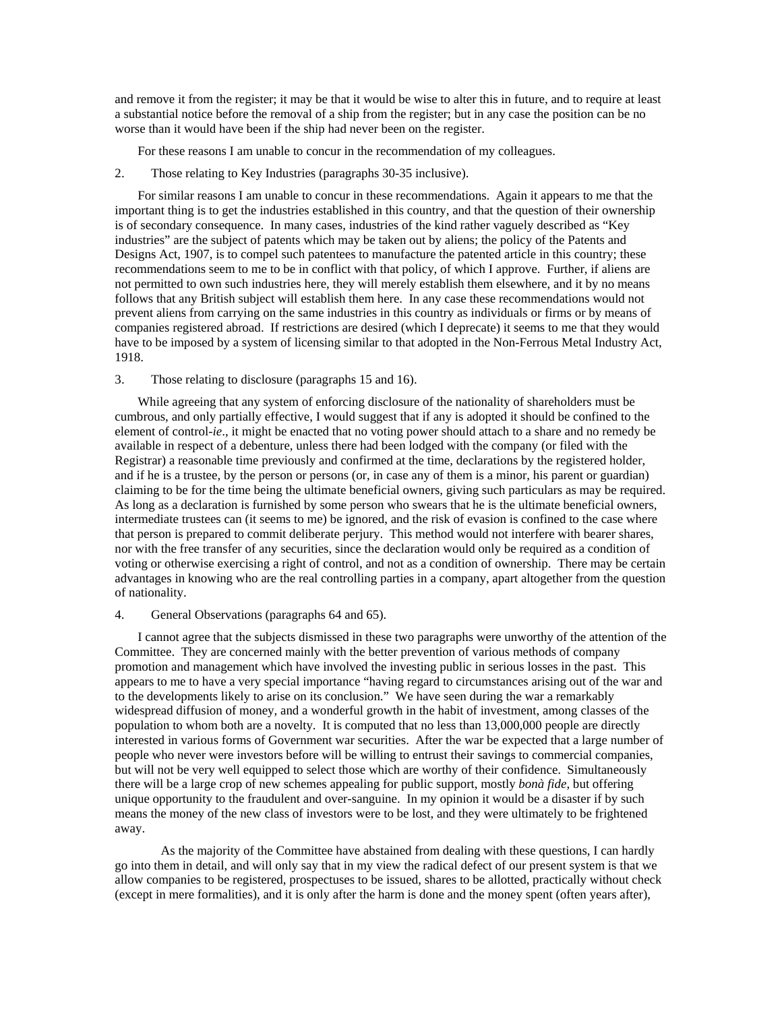and remove it from the register; it may be that it would be wise to alter this in future, and to require at least a substantial notice before the removal of a ship from the register; but in any case the position can be no worse than it would have been if the ship had never been on the register.

For these reasons I am unable to concur in the recommendation of my colleagues.

2. Those relating to Key Industries (paragraphs 30-35 inclusive).

For similar reasons I am unable to concur in these recommendations. Again it appears to me that the important thing is to get the industries established in this country, and that the question of their ownership is of secondary consequence. In many cases, industries of the kind rather vaguely described as "Key industries" are the subject of patents which may be taken out by aliens; the policy of the Patents and Designs Act, 1907, is to compel such patentees to manufacture the patented article in this country; these recommendations seem to me to be in conflict with that policy, of which I approve. Further, if aliens are not permitted to own such industries here, they will merely establish them elsewhere, and it by no means follows that any British subject will establish them here. In any case these recommendations would not prevent aliens from carrying on the same industries in this country as individuals or firms or by means of companies registered abroad. If restrictions are desired (which I deprecate) it seems to me that they would have to be imposed by a system of licensing similar to that adopted in the Non-Ferrous Metal Industry Act, 1918.

#### 3. Those relating to disclosure (paragraphs 15 and 16).

While agreeing that any system of enforcing disclosure of the nationality of shareholders must be cumbrous, and only partially effective, I would suggest that if any is adopted it should be confined to the element of control-*ie*., it might be enacted that no voting power should attach to a share and no remedy be available in respect of a debenture, unless there had been lodged with the company (or filed with the Registrar) a reasonable time previously and confirmed at the time, declarations by the registered holder, and if he is a trustee, by the person or persons (or, in case any of them is a minor, his parent or guardian) claiming to be for the time being the ultimate beneficial owners, giving such particulars as may be required. As long as a declaration is furnished by some person who swears that he is the ultimate beneficial owners, intermediate trustees can (it seems to me) be ignored, and the risk of evasion is confined to the case where that person is prepared to commit deliberate perjury. This method would not interfere with bearer shares, nor with the free transfer of any securities, since the declaration would only be required as a condition of voting or otherwise exercising a right of control, and not as a condition of ownership. There may be certain advantages in knowing who are the real controlling parties in a company, apart altogether from the question of nationality.

#### 4. General Observations (paragraphs 64 and 65).

I cannot agree that the subjects dismissed in these two paragraphs were unworthy of the attention of the Committee. They are concerned mainly with the better prevention of various methods of company promotion and management which have involved the investing public in serious losses in the past. This appears to me to have a very special importance "having regard to circumstances arising out of the war and to the developments likely to arise on its conclusion." We have seen during the war a remarkably widespread diffusion of money, and a wonderful growth in the habit of investment, among classes of the population to whom both are a novelty. It is computed that no less than 13,000,000 people are directly interested in various forms of Government war securities. After the war be expected that a large number of people who never were investors before will be willing to entrust their savings to commercial companies, but will not be very well equipped to select those which are worthy of their confidence. Simultaneously there will be a large crop of new schemes appealing for public support, mostly *bonà fide*, but offering unique opportunity to the fraudulent and over-sanguine. In my opinion it would be a disaster if by such means the money of the new class of investors were to be lost, and they were ultimately to be frightened away.

 As the majority of the Committee have abstained from dealing with these questions, I can hardly go into them in detail, and will only say that in my view the radical defect of our present system is that we allow companies to be registered, prospectuses to be issued, shares to be allotted, practically without check (except in mere formalities), and it is only after the harm is done and the money spent (often years after),